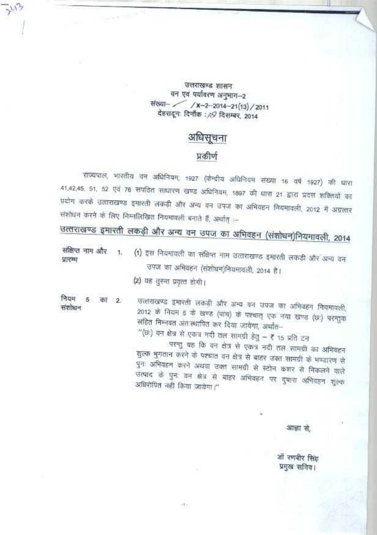उत्तराखण्ड शासन वन एवं पर्यावरण अनुमाग-2 संख्या- / x-2-2014-21(13)/2011 देहरादून: दिनॉक : /8 दिसम्बर, 2014

## अधिसूचना

#### प्रकीर्ण

राज्यपाल, भारतीय वन अधिनियम, 1927 (केन्द्रीय अधिनियम संख्या 16 वर्ष 1927) की घारा 41,42,45, 51, 52 एवं 76 सपठित साधारण खण्ड अधिनियम, 1897 को धारा 21 द्वारा प्रदत्त शक्तियों का प्रयोग करके उत्ताराखण्ड इमारती लकड़ी और अन्य वन उपज का अभिवहन नियमावली, 2012 में अग्रत्तार संशोधन करने के लिए निम्नलिखित नियमावली बनाते हैं, अर्थात् :--

उत्तराखण्ड इमारती लकड़ी और अन्य वन उपज का अभिवहन (संशोधन)नियमावली, 2014

संक्षिप्त नाम और (1) इस नियमावली का संक्षिप्त नाम उत्तराखण्ड इमारती लकड़ी और अन्य वन ¥. प्रारम्भ उपज का अभिवहन (संशोधन)नियमावली, 2014 है। (2) यह तुरन्त प्रवृत्त होगी।

नियम 5 का 2 संशोधन

उत्तराखण्ड इमारती लकडी और अन्य वन उपज का अभिवहन नियमावली, 2012 के नियम 5 के खण्ड (पांच) के पश्चात् एक नया खण्ड (छ:) परन्तुक सहित निम्नवत अंतःस्थापित कर दिया जायेगा, अर्थात–

"(छ) वन क्षेत्र से एकत्र नदी तल सामग्री हेतु – ₹ 15 प्रति टन

परन्तु यह कि वन क्षेत्र से एकत्र नदी तल सामग्री का अभिवहन शुल्क मुगतान करने के पश्चात वन क्षेत्र से बाहर उक्त सामग्री के भण्डारण से पुनः अभिवहन करने अथवा उक्त सामग्री से स्टोन कशर से निकलने वाले उत्पाद के पुनः वन क्षेत्र से बाहर अभिवहन पर दुधारा अभिवहन शुल्क अधिरोपित नही किया जायेगा।"

आज़ा से,

डॉ रणबीर सिंह प्रमुख सनिव।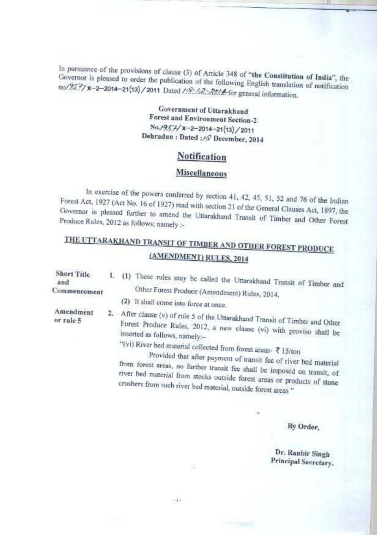**In pursuance** of the provisions of clause (3) of Article 348 **of "the Constitution of India",** cation Governor is pleased to order the publication of the following English translation of notification<br>no/25.7/ x-2-2014-21(13)/2011 Dated */ 12: / 2: 2014* for general information.

#### **Government of Uttarakhand Forest and Environment Section-2** S'o<sup>3</sup>957/ **<sup>X</sup> -2-2014-21** (13)/2011 **Dehradun** : **Dated** :3**9 December, 2014**

### **Notification**

#### **Miscellaneous**

In exercise of the powers conferred by section 41, 42, 45. 51. 52 and 76 **of the Indian**  $\frac{1}{2}$  Forest Act, 1927 (Act No. 16 of 1927) read with section 21 of the General Clauses Act, 1897, the  $\frac{1}{2}$ Governor is **pleased further** Governor is pleased further to amend the Uttarakhand Transit of Timber and Other Forest Produce Rules, 2012 as follows; namely :-

# THE UTTARAKHAND TRANSIT OF TIMBER AND OTHER FOREST PRODUCE **(AMENDMENT) RULES, 2014**

| <b>Short Title</b><br>and | 1. (1) These rules may be called the Uttarakhand Transit of Timber and                                                                                                                                                                                                                                                                                               |
|---------------------------|----------------------------------------------------------------------------------------------------------------------------------------------------------------------------------------------------------------------------------------------------------------------------------------------------------------------------------------------------------------------|
| Commencement              | Other Forest Produce (Amendment) Rules, 2014.                                                                                                                                                                                                                                                                                                                        |
|                           | (2) It shall come into force at once.                                                                                                                                                                                                                                                                                                                                |
| Amendment<br>or rule 5    | 2. After clause (v) of rule 5 of the Uttarakhand Transit of Timber and Other<br>Forest Produce Rules, 2012, a new clause (vi) with proviso shall be<br>inserted as follows, namely:-                                                                                                                                                                                 |
|                           | "(vi) River bed material collected from forest areas- $\bar{x}$ 15/ton<br>Provided that after payment of transit fee of river bed material<br>from forest areas, no further transit fee shall be imposed on transit, of<br>river bed material from stocks outside forest areas or products of stone<br>crushers from such river bed material, outside forest areas " |

**Re Order,**

**Dr. Ran hir Singh Principal Secretory.**

 $-14$